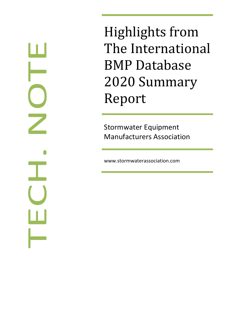Highlights from The International BMP Database 2020 Summary Report

Stormwater Equipment Manufacturers Association

www.stormwaterassociation.com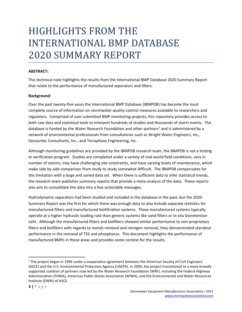### HIGHLIGHTS FROM THE INTERNATIONAL BMP DATABASE 2020 SUMMARY REPORT

#### **ABSTRACT:**

This technical note highlights the results from the International BMP Database 2020 Summary Report that relate to the performance of manufactured separators and filters.

#### **Background:**

Over the past twenty‐five years the International BMP Database (IBMPDB) has become the most complete source of information on stormwater quality control measures available to researchers and regulators. Comprised of user submitted BMP monitoring projects, this repository provides access to both raw data and statistical tools to interpret hundreds of studies and thousands of storm events. The database is funded by the Water Research Foundation and other partners<sup>1</sup> and is administered by a network of environmental professionals from consultancies such as Wright Water Engineers, Inc., Geosyntec Consultants, Inc., and Terraphase Engineering, Inc.

Although monitoring guidelines are provided by the IBMPDB research team, the IBMPDB is not a testing or verification program. Studies are completed under a variety of real‐world field conditions, vary in number of storms, may have challenging site constraints, and have varying levels of maintenance, which make side by side comparison from study to study somewhat difficult. The IBMPDB compensates for this limitation with a large and varied data set. When there is sufficient data to infer statistical trends, the research team publishes summary reports that provide a meta‐analysis of the data. These reports also aim to consolidate the data into a few actionable messages.

Hydrodynamic separators had been studied and included in the database in the past, but the 2020 Summary Report was the first for which there was enough data to also include separate statistics for manufactured filters and manufactured biofiltration systems. These manufactured systems typically operate at a higher hydraulic loading rate than generic systems like sand filters or in‐situ bioretention cells. Although the manufactured filters and biofilters showed similar performance to non‐proprietary filters and biofilters with regards to metals removal and nitrogen removal, they demonstrated standout performance in the removal of TSS and phosphorus. This document highlights the performance of manufactured BMPs in these areas and provides some context for the results.

 $<sup>1</sup>$  The project began in 1996 under a cooperative agreement between the American Society of Civil Engineers</sup> (ASCE) and the U.S. Environmental Protection Agency (USEPA). In 2004, the project transitioned to a more broadly supported coalition of partners now led by the Water Research Foundation (WRF), including the Federal Highway Administration (FHWA), American Public Works Association (APWA), and the Environmental and Water Resources Institute (EWRI) of ASCE.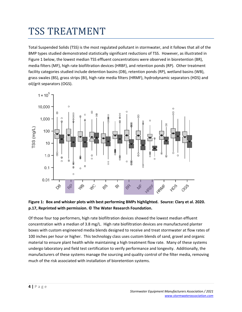## TSS TREATMENT

Total Suspended Solids (TSS) is the most regulated pollutant in stormwater, and it follows that all of the BMP types studied demonstrated statistically significant reductions of TSS. However, as illustrated in Figure 1 below, the lowest median TSS effluent concentrations were observed in bioretention (BR), media filters (MF), high rate biofiltration devices (HRBF), and retention ponds (RP). Other treatment facility categories studied include detention basins (DB), retention ponds (RP), wetland basins (WB), grass swales (BS), grass strips (BI), high rate media filters (HRMF), hydrodynamic separators (HDS) and oil/grit separators (OGS).



#### **Figure 1: Box and whisker plots with best performing BMPs highlighted. Source: Clary et al. 2020. p.17, Reprinted with permission. © The Water Research Foundation.**

Of those four top performers, high rate biofiltration devices showed the lowest median effluent concentration with a median of 3.8 mg/L. High rate biofiltration devices are manufactured planter boxes with custom engineered media blends designed to receive and treat stormwater at flow rates of 100 inches per hour or higher. This technology class uses custom blends of sand, gravel and organic material to ensure plant health while maintaining a high treatment flow rate. Many of these systems undergo laboratory and field test certification to verify performance and longevity. Additionally, the manufacturers of these systems manage the sourcing and quality control of the filter media, removing much of the risk associated with installation of bioretention systems.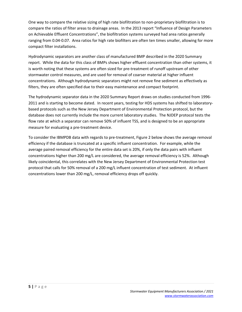One way to compare the relative sizing of high rate biofiltration to non‐proprietary biofiltration is to compare the ratios of filter areas to drainage areas. In the 2013 report "Influence of Design Parameters on Achievable Effluent Concentrations", the biofiltration systems surveyed had area ratios generally ranging from 0.04‐0.07. Area ratios for high rate biofilters are often ten times smaller, allowing for more compact filter installations.

Hydrodynamic separators are another class of manufactured BMP described in the 2020 Summary report. While the data for this class of BMPs shows higher effluent concentration than other systems, it is worth noting that these systems are often sized for pre-treatment of runoff upstream of other stormwater control measures, and are used for removal of coarser material at higher influent concentrations. Although hydrodynamic separators might not remove fine sediment as effectively as filters, they are often specified due to their easy maintenance and compact footprint.

The hydrodynamic separator data in the 2020 Summary Report draws on studies conducted from 1996‐ 2011 and is starting to become dated. In recent years, testing for HDS systems has shifted to laboratory‐ based protocols such as the New Jersey Department of Environmental Protection protocol, but the database does not currently include the more current laboratory studies. The NJDEP protocol tests the flow rate at which a separator can remove 50% of influent TSS, and is designed to be an appropriate measure for evaluating a pre‐treatment device.

To consider the IBMPDB data with regards to pre‐treatment, Figure 2 below shows the average removal efficiency if the database is truncated at a specific influent concentration. For example, while the average paired removal efficiency for the entire data set is 20%, if only the data pairs with influent concentrations higher than 200 mg/L are considered, the average removal efficiency is 52%. Although likely coincidental, this correlates with the New Jersey Department of Environmental Protection test protocol that calls for 50% removal of a 200 mg/L influent concentration of test sediment. At influent concentrations lower than 200 mg/L, removal efficiency drops off quickly.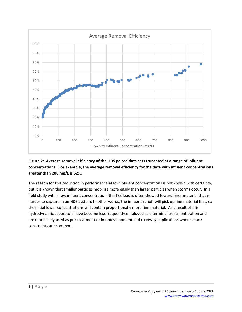

#### **Figure 2: Average removal efficiency of the HDS paired data sets truncated at a range of influent concentrations. For example, the average removal efficiency for the data with influent concentrations greater than 200 mg/L is 52%.**

The reason for this reduction in performance at low influent concentrations is not known with certainty, but it is known that smaller particles mobilize more easily than larger particles when storms occur. In a field study with a low influent concentration, the TSS load is often skewed toward finer material that is harder to capture in an HDS system. In other words, the influent runoff will pick up fine material first, so the initial lower concentrations will contain proportionally more fine material. As a result of this, hydrodynamic separators have become less frequently employed as a terminal treatment option and are more likely used as pre‐treatment or in redevelopment and roadway applications where space constraints are common.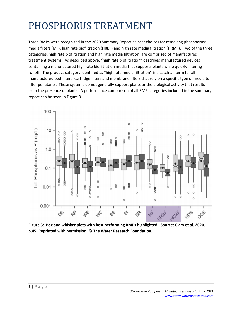# PHOSPHORUS TREATMENT

Three BMPs were recognized in the 2020 Summary Report as best choices for removing phosphorus: media filters (MF), high rate biofiltration (HRBF) and high rate media filtration (HRMF). Two of the three categories, high rate biofiltration and high rate media filtration, are comprised of manufactured treatment systems. As described above, "high rate biofiltration" describes manufactured devices containing a manufactured high rate biofiltration media that supports plants while quickly filtering runoff. The product category identified as "high rate media filtration" is a catch‐all term for all manufactured bed filters, cartridge filters and membrane filters that rely on a specific type of media to filter pollutants. These systems do not generally support plants or the biological activity that results from the presence of plants. A performance comparison of all BMP categories included in the summary report can be seen in Figure 3.



**Figure 3: Box and whisker plots with best performing BMPs highlighted. Source: Clary et al. 2020. p.45, Reprinted with permission. © The Water Research Foundation.**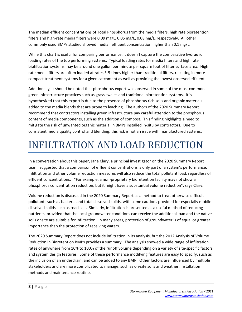The median effluent concentrations of Total Phosphorus from the media filters, high rate bioretention filters and high-rate media filters were 0.09 mg/L, 0.05 mg/L, 0.08 mg/L, respectively. All other commonly used BMPs studied showed median effluent concentration higher than 0.1 mg/L.

While this chart is useful for comparing performance, it doesn't capture the comparative hydraulic loading rates of the top performing systems. Typical loading rates for media filters and high rate biofiltration systems may be around one gallon per minute per square foot of filter surface area. High rate media filters are often loaded at rates 3-5 times higher than traditional filters, resulting in more compact treatment systems for a given catchment as well as providing the lowest observed effluent.

Additionally, it should be noted that phosphorus export was observed in some of the most common green infrastructure practices such as grass swales and traditional bioretention systems. It is hypothesized that this export is due to the presence of phosphorus rich soils and organic materials added to the media blends that are prone to leaching. The authors of the 2020 Summary Report recommend that contractors installing green infrastructure pay careful attention to the phosphorus content of media components, such as the addition of compost. This finding highlights a need to mitigate the risk of unwanted organic material in BMPs installed in‐situ by contractors. Due to consistent media quality control and blending, this risk is not an issue with manufactured systems.

### INFILTRATION AND LOAD REDUCTION

In a conversation about this paper, Jane Clary, a principal investigator on the 2020 Summary Report team, suggested that a comparison of effluent concentrations is only part of a system's performance. Infiltration and other volume reduction measures will also reduce the total pollutant load, regardless of effluent concentrations. "For example, a non-proprietary bioretention facility may not show a phosphorus concentration reduction, but it might have a substantial volume reduction", says Clary.

Volume reduction is discussed in the 2020 Summary Report as a method to treat otherwise difficult pollutants such as bacteria and total dissolved solids, with some cautions provided for especially mobile dissolved solids such as road salt. Similarly, infiltration is presented as a useful method of reducing nutrients, provided that the local groundwater conditions can receive the additional load and the native soils onsite are suitable for infiltration. In many areas, protection of groundwater is of equal or greater importance than the protection of receiving waters.

The 2020 Summary Report does not include infiltration in its analysis, but the 2012 Analysis of Volume Reduction in Bioretention BMPs provides a summary. The analysis showed a wide range of infiltration rates of anywhere from 10% to 100% of the runoff volume depending on a variety of site‐specific factors and system design features. Some of these performance modifying features are easy to specify, such as the inclusion of an underdrain, and can be added to any BMP. Other factors are influenced by multiple stakeholders and are more complicated to manage, such as on‐site soils and weather, installation methods and maintenance routine.